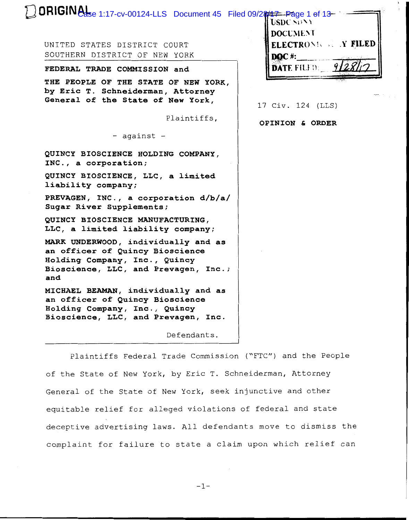| DRIGINAL 1:17-cv-00124-LLS Document 45 Filed 09/28737-Page 1 of 13<br><b>USDC SONA</b><br><b>DOCUMENT</b><br><b>ELECTRONIC AT FILED</b><br>UNITED STATES DISTRICT COURT<br>SOUTHERN DISTRICT OF NEW YORK<br><b>DOC#:</b><br><b>DATE FILED:</b><br>FEDERAL TRADE COMMISSION and<br>THE PEOPLE OF THE STATE OF NEW YORK,<br>by Eric T. Schneiderman, Attorney<br>General of the State of New York,<br>17 Civ. 124 (LLS)<br>Plaintiffs,<br>OPINION & ORDER<br>- against -<br>QUINCY BIOSCIENCE HOLDING COMPANY,<br>INC., a corporation;<br>QUINCY BIOSCIENCE, LLC, a limited<br>liability company;<br>PREVAGEN, INC., a corporation d/b/a/<br>Sugar River Supplements;<br>QUINCY BIOSCIENCE MANUFACTURING,<br>LLC, a limited liability company;<br>MARK UNDERWOOD, individually and as<br>an officer of Quincy Bioscience<br>Holding Company, Inc., Quincy<br>Bioscience, LLC, and Prevagen, Inc.;<br>and<br>MICHAEL BEAMAN, individually and as<br>an officer of Quincy Bioscience<br>Holding Company, Inc., Quincy |                                     |  |
|-------------------------------------------------------------------------------------------------------------------------------------------------------------------------------------------------------------------------------------------------------------------------------------------------------------------------------------------------------------------------------------------------------------------------------------------------------------------------------------------------------------------------------------------------------------------------------------------------------------------------------------------------------------------------------------------------------------------------------------------------------------------------------------------------------------------------------------------------------------------------------------------------------------------------------------------------------------------------------------------------------------------|-------------------------------------|--|
|                                                                                                                                                                                                                                                                                                                                                                                                                                                                                                                                                                                                                                                                                                                                                                                                                                                                                                                                                                                                                   |                                     |  |
|                                                                                                                                                                                                                                                                                                                                                                                                                                                                                                                                                                                                                                                                                                                                                                                                                                                                                                                                                                                                                   |                                     |  |
|                                                                                                                                                                                                                                                                                                                                                                                                                                                                                                                                                                                                                                                                                                                                                                                                                                                                                                                                                                                                                   |                                     |  |
|                                                                                                                                                                                                                                                                                                                                                                                                                                                                                                                                                                                                                                                                                                                                                                                                                                                                                                                                                                                                                   |                                     |  |
|                                                                                                                                                                                                                                                                                                                                                                                                                                                                                                                                                                                                                                                                                                                                                                                                                                                                                                                                                                                                                   |                                     |  |
|                                                                                                                                                                                                                                                                                                                                                                                                                                                                                                                                                                                                                                                                                                                                                                                                                                                                                                                                                                                                                   |                                     |  |
|                                                                                                                                                                                                                                                                                                                                                                                                                                                                                                                                                                                                                                                                                                                                                                                                                                                                                                                                                                                                                   |                                     |  |
|                                                                                                                                                                                                                                                                                                                                                                                                                                                                                                                                                                                                                                                                                                                                                                                                                                                                                                                                                                                                                   |                                     |  |
|                                                                                                                                                                                                                                                                                                                                                                                                                                                                                                                                                                                                                                                                                                                                                                                                                                                                                                                                                                                                                   |                                     |  |
|                                                                                                                                                                                                                                                                                                                                                                                                                                                                                                                                                                                                                                                                                                                                                                                                                                                                                                                                                                                                                   |                                     |  |
|                                                                                                                                                                                                                                                                                                                                                                                                                                                                                                                                                                                                                                                                                                                                                                                                                                                                                                                                                                                                                   |                                     |  |
|                                                                                                                                                                                                                                                                                                                                                                                                                                                                                                                                                                                                                                                                                                                                                                                                                                                                                                                                                                                                                   |                                     |  |
|                                                                                                                                                                                                                                                                                                                                                                                                                                                                                                                                                                                                                                                                                                                                                                                                                                                                                                                                                                                                                   |                                     |  |
|                                                                                                                                                                                                                                                                                                                                                                                                                                                                                                                                                                                                                                                                                                                                                                                                                                                                                                                                                                                                                   | Bioscience, LLC, and Prevagen, Inc. |  |
| Defendants.                                                                                                                                                                                                                                                                                                                                                                                                                                                                                                                                                                                                                                                                                                                                                                                                                                                                                                                                                                                                       |                                     |  |

Plaintiffs Federal Trade Commission ("FTC") and the People of the State of New York, by Eric T. Schneiderman, Attorney General of the State of New York, seek injunctive and other equitable relief for alleged violations of federal and state deceptive advertising laws. All defendants move to dismiss the complaint for failure to state a claim upon which relief can

-1-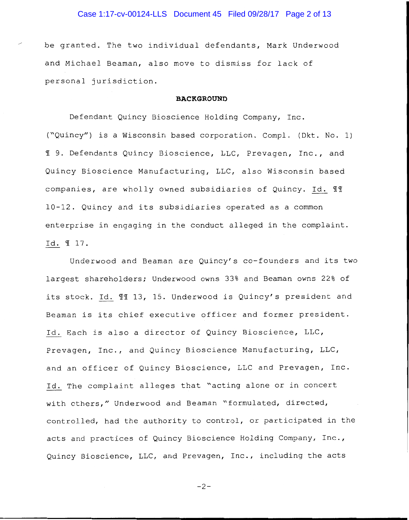# Case 1:17-cv-00124-LLS Document 45 Filed 09/28/17 Page 2 of 13

be granted. The two individual defendants, Mark Underwood and Michael Beaman, also move to dismiss for lack of personal jurisdiction.

#### **BACKGROUND**

Defendant Quincy Bioscience Holding Company, Inc. ("Quincy") is a Wisconsin based corporation. Compl. ( Dkt. No. 1) 19. Defendants Quincy Bioscience, LLC, Prevagen, Inc., and Quincy Bioscience Manufacturing, LLC, also Wisconsin based companies, are wholly owned subsidiaries of Quincy. Id.  $\mathbb{H}$ 10-12. Quincy and its subsidiaries operated as a common enterprise in engaging in the conduct alleged in the complaint. Id. 17.

Underwood and Beaman are Quincy's co-founders and its two largest shareholders; Underwood owns 33% and Beaman owns 22% of its stock. Id. 11 13, 15. Underwood is Quincy's president and Beaman is its chief executive officer and former president. Id. Each is also a director of Quincy Bioscience, LLC, Prevagen, Inc., and Quincy Bioscience Manufacturing, LLC, and an officer of Quincy Bioscience, LLC and Prevagen, Inc. Id. The complaint alleges that "acting alone or in concert with others," Underwood and Beaman "formulated, directed, controlled, had the authority to control, or participated in the acts and practices of Quincy Bioscience Holding Company, Inc., Quincy Bioscience, LLC, and Prevagen, Inc., including the acts

-2-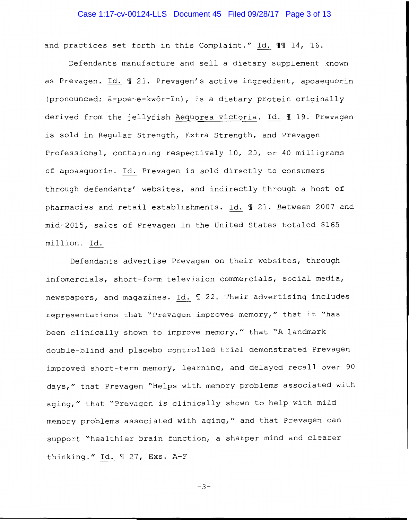# Case 1:17-cv-00124-LLS Document 45 Filed 09/28/17 Page 3 of 13

and practices set forth in this Complaint." Id. 11 14, 16.

Defendants manufacture and sell a dietary supplement known as Prevagen. Id.  $\text{\ensuremath{\mathfrak{N}}}$  21. Prevagen's active ingredient, apoaequorin (pronounced: a-poe-e-kwor-in), is a dietary protein originally derived from the jellyfish Aequorea victoria. Id. 19. Prevagen is sold in Regular Strength, Extra Strength, and Prevagen Professional, containing respectively 10, 20, or 40 milligrams of apoaequorin. Id. Prevagen is sold directly to consumers through defendants' websites, and indirectly through a host of pharmacies and retail establishments. Id. 1 21. Between 2007 and mid-2015, sales of Prevagen in the United States totaled \$165 million. Id.

Defendants advertise Prevagen on their websites, through infomercials, short-form television commercials, social media, newspapers, and magazines. Id. 1 22. Their advertising includes representations that "Prevagen improves memory," that it "has been clinically shown to improve memory," that "A landmark double-blind and placebo controlled trial demonstrated Prevagen improved short-term memory, learning, and delayed recall over 90 days," that Prevagen "Helps with memory problems associated with aging," that "Prevagen is clinically shown to help with mild memory problems associated with aging," and that Prevagen can support "healthier brain function, a sharper mind and clearer thinking." Id.  $\text{\$\texttt{I}}$  27, Exs. A-F

 $-3-$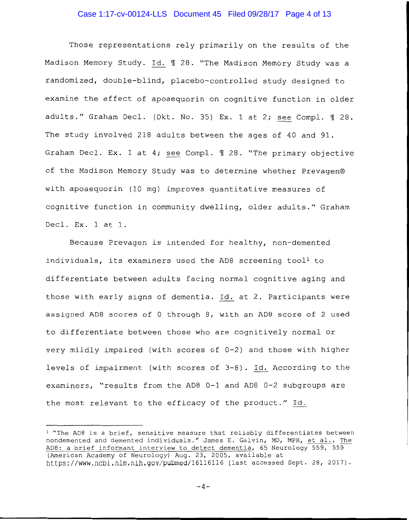# Case 1:17-cv-00124-LLS Document 45 Filed 09/28/17 Page 4 of 13

Those representations rely primarily on the results of the Madison Memory Study. Id. 1 28. "The Madison Memory Study was a randomized, double-blind, placebo-controlled study designed to examine the effect of apoaequorin on cognitive function in older adults." Graham Decl. (Dkt. No. 35) Ex. 1 at 2; see Compl.  $\text{\ensuremath{\mathfrak{A}}}$  28. The study involved 218 adults between the ages of 40 and 91. Graham Decl. Ex. 1 at 4; see Compl.  $\text{\ensuremath{\mathfrak{A}}}$  28. "The primary objective of the Madison Memory Study was to determine whether Prevagen® with apoaequorin (10 mg) improves quantitative measures of cognitive function in community dwelling, older adults." Graham Decl. Ex. 1 at 1.

Because Prevagen is intended for healthy, non-demented individuals, its examiners used the AD8 screening tool<sup>1</sup> to differentiate between adults facing normal cognitive aging and those with early signs of dementia. Id. at 2. Participants were assigned ADS scores of 0 through S, with an ADS score of 2 used to differentiate between those who are cognitively normal or very mildly impaired (with scores of  $0-2$ ) and those with higher levels of impairment (with scores of 3-S). Id. According to the examiners, "results from the ADS 0-1 and ADS 0-2 subgroups are the most relevant to the efficacy of the product." Id.

<sup>&</sup>lt;sup>1</sup> "The AD8 is a brief, sensitive measure that reliably differentiates between nondemented and demented individuals." James E. Galvin, MD, MPH, et al., The ADS: a brief informant interview to detect dementia, 65 Neurology 559, 559 (American Academy of Neurology) Aug. 23, 2005, available at https://www.ncbi.nlm.nih.gov/pubmed/16116116 (last accessed Sept. 2S, 2017).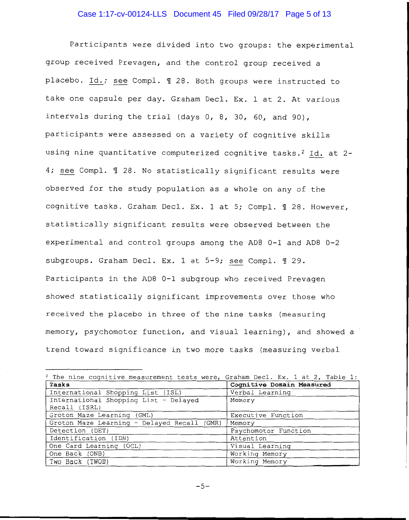# Case 1:17-cv-00124-LLS Document 45 Filed 09/28/17 Page 5 of 13

Participants were divided into two groups: the experimental group received Prevagen, and the control group received a placebo. Id.; see Compl. 1 28. Both groups were instructed to take one capsule per day. Graham Decl. Ex. 1 at 2. At various intervals during the trial (days  $0, 8, 30, 60,$  and  $90$ ), participants were assessed on a variety of cognitive skills using nine quantitative computerized cognitive tasks.<sup>2</sup> Id. at 2-4; see Compl.  $\text{\texttt{I}}$  28. No statistically significant results were observed for the study population as a whole on any of the cognitive tasks. Graham Decl. Ex. 1 at 5; Compl.  $\P$  28. However, statistically significant results were observed between the experimental and control groups among the ADS 0-1 and ADS 0-2 subgroups. Graham Decl. Ex. 1 at 5-9; see Compl. 1 29. Participants in the ADS 0-1 subgroup who received Prevagen showed statistically significant improvements over those who received the placebo in three of the nine tasks (measuring memory, psychomotor function, and visual learning), and showed a trend toward significance in two more tasks (measuring verbal

| <sup>2</sup> The nine cognitive measurement tests were, Graham Decl. Ex. 1 at 2, Table 1: |                           |
|-------------------------------------------------------------------------------------------|---------------------------|
| Tasks                                                                                     | Cognitive Domain Measured |
| International Shopping List (ISL)                                                         | Verbal Learning           |
| International Shopping List - Delayed                                                     | Memory                    |
| Recall (ISRL)                                                                             |                           |
| Groton Maze Learning (GML)                                                                | Executive Function        |
| Groton Maze Learning - Delayed Recall (GMR)                                               | Memory                    |
| Detection (DET)                                                                           | Psychomotor Function      |
| Identification (IDN)                                                                      | Attention                 |
| One Card Learning (OCL)                                                                   | Visual Learning           |
| One Back (ONB)                                                                            | Working Memory            |
| Two Back (TWOB)                                                                           | Working Memory            |

 $-5-$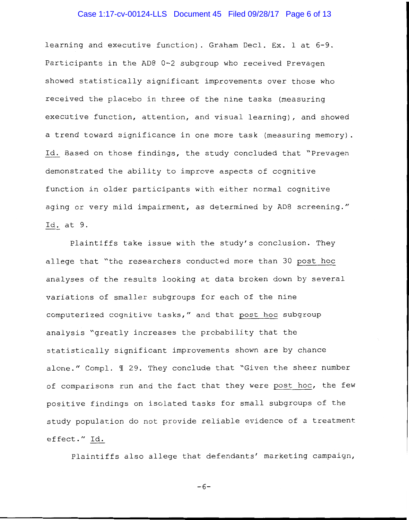# Case 1:17-cv-00124-LLS Document 45 Filed 09/28/17 Page 6 of 13

learning and executive function). Graham Decl. Ex. 1 at 6-9. Participants in the ADS 0-2 subgroup who received Prevagen showed statistically significant improvements over those who received the placebo in three of the nine tasks (measuring executive function, attention, and visual learning), and showed a trend toward significance in one more task (measuring memory) . Id. Based on those findings, the study concluded that "Prevagen demonstrated the ability to improve aspects of cognitive function in older participants with either normal cognitive aging or very mild impairment, as determined by AD8 screening." Id. at 9.

Plaintiffs take issue with the study's conclusion. They allege that "the researchers conducted more than 30 post hoc analyses of the results looking at data broken down by several variations of smaller subgroups for each of the nine computerized cognitive tasks," and that post hoc subgroup analysis "greatly increases the probability that the statistically significant improvements shown are by chance alone." Compl. 1 29. They conclude that "Given the sheer number of comparisons run and the fact that they were post hoc, the few positive findings on isolated tasks for small subgroups of the study population do not provide reliable evidence of a treatment effect." Id.

Plaintiffs also allege that defendants' marketing campaign,

-6-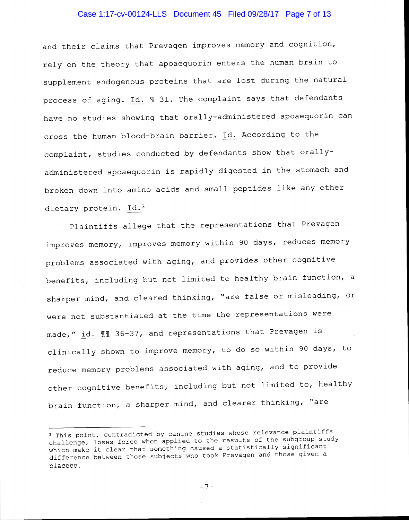# Case 1:17-cv-00124-LLS Document 45 Filed 09/28/17 Page 7 of 13

and their claims that Prevagen improves memory and cognition, rely on the theory that apoaequorin enters the human brain to supplement endogenous proteins that are lost during the natural process of aging.  $Id.$   $\mathbb T$  31. The complaint says that defendants have no studies showing that orally-administered apoaequorin can cross the human blood-brain barrier. Id. According to the complaint, studies conducted by defendants show that orallyadministered apoaequorin is rapidly digested in the stomach and broken down into amino acids and small peptides like any other dietary protein. Id.3

Plaintiffs allege that the representations that Prevagen improves memory, improves memory within 90 days, reduces memory problems associated with aging, and provides other cognitive benefits, including but not limited to healthy brain function, a sharper mind, and cleared thinking, "are false or misleading, or were not substantiated at the time the representations were made," id.  $\text{\% } 15 - 37$ , and representations that Prevagen is clinically shown to improve memory, to do so within 90 days, to reduce memory problems associated with aging, and to provide other cognitive benefits, including but not limited to, healthy brain function, a sharper mind, and clearer thinking, "are

<sup>3</sup> This point, contradicted by canine studies whose relevance plaintiffs challenge, loses force when applied to the results of the subgroup study which make it clear that something caused a statistically significant difference between those subjects who took Prevagen and those given a placebo.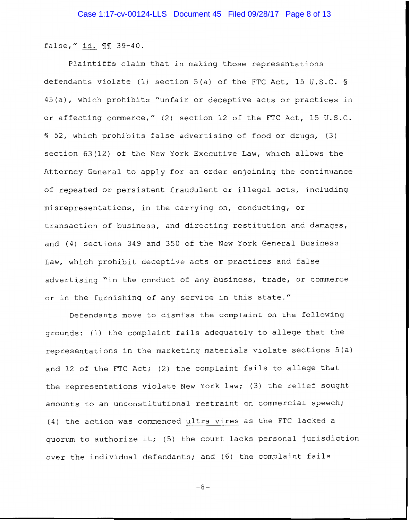false," id. 11 39-40.

Plaintiffs claim that in making those representations defendants violate (1) section 5(a) of the FTC Act, 15 U.S.C. § 45(a), which prohibits "unfair or deceptive acts or practices in or affecting commerce," (2) section 12 of the FTC Act, 15 U.S.C. § 52, which prohibits false advertising of food or drugs, (3) section 63(12) of the New York Executive Law, which allows the Attorney General to apply for an order enjoining the continuance of repeated or persistent fraudulent or illegal acts, including misrepresentations, in the carrying on, conducting, or transaction of business, and directing restitution and damages, and (4) sections 349 and 350 of the New York General Business Law, which prohibit deceptive acts or practices and false advertising "in the conduct of any business, trade, or commerce or in the furnishing of any service in this state."

Defendants move to dismiss the complaint on the following grounds: (1) the complaint fails adequately to allege that the representations in the marketing materials violate sections 5(a) and 12 of the FTC Act; (2) the complaint fails to allege that the representations violate New York law; (3) the relief sought amounts to an unconstitutional restraint on commercial speech; (4) the action was commenced ultra vires as the FTC lacked a quorum to authorize it; (5) the court lacks personal jurisdiction over the individual defendants; and (6) the complaint fails

 $-8-$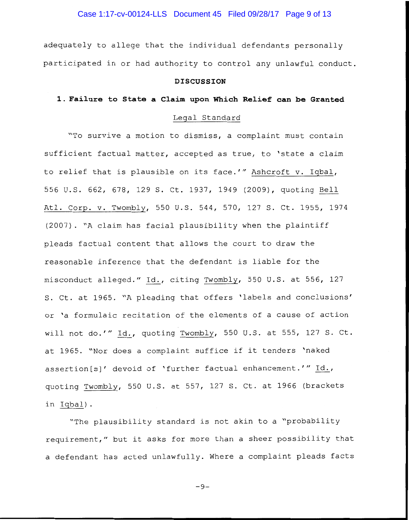Case 1:17-cv-00124-LLS Document 45 Filed 09/28/17 Page 9 of 13

adequately to allege that the individual defendants personally participated in or had authority to control any unlawful conduct.

## **DISCUSSION**

## **1. Failure to State a Claim upon Which Relief can be Granted**

## Legal Standard

"To survive a motion to dismiss, a complaint must contain sufficient factual matter, accepted as true, to 'state a claim to relief that is plausible on its face.'" Ashcroft v. Iqbal, 556 U.S. 662, 678, 129 S. Ct. 1937, 1949 (2009), quoting Bell Atl. Corp. v. Twombly, 550 U.S. 544, 570, 127 S. Ct. 1955, 1974 (2007). "A claim has facial plausibility when the plaintiff pleads factual content that allows the court to draw the reasonable inference that the defendant is liable for the misconduct alleged." Id., citing Twombly, 550 U.S. at 556, 127 S. Ct. at 1965. "A pleading that offers 'labels and conclusions' or 'a formulaic recitation of the elements of a cause of action will not do.'" Id., quoting Twombly, 550 U.S. at 555, 127 S. Ct. at 1965. "Nor does a complaint suffice if it tenders 'naked assertion[s]' devoid of 'further factual enhancement.'" Id., quoting Twombly, 550 U.S. at 557, 127 S. Ct. at 1966 (brackets in Iqbal).

"The plausibility standard is not akin to a "probability requirement," but it asks for more than a sheer possibility that a defendant has acted unlawfully. Where a complaint pleads facts

 $-9-$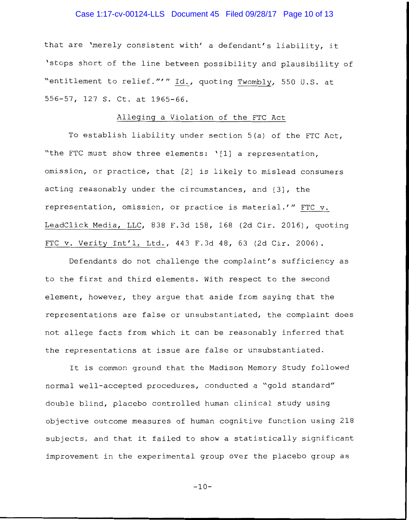# Case 1:17-cv-00124-LLS Document 45 Filed 09/28/17 Page 10 of 13

that are 'merely consistent with' a defendant's liability, it 'stops short of the line between possibility and plausibility of "entitlement to relief.""' Id., quoting Twombly, 550 U.S. at 556-57, 127 S. Ct. at 1965-66.

## Alleging a Violation of the FTC Act

To establish liability under section 5(a) of the FTC Act, "the FTC must show three elements: '[1] a representation, omission, or practice, that [2] is likely to mislead consumers acting reasonably under the circumstances, and [3], the representation, omission, or practice is material.'" FTC v. LeadClick Media, LLC, 838 F.3d 158, 168 (2d Cir. 2016), quoting FTC v. Verity Int'l, Ltd., 443 F.3d 48, 63 (2d Cir. 2006).

Defendants do not challenge the complaint's sufficiency as to the first and third elements. With respect to the second element, however, they argue that aside from saying that the representations are false or unsubstantiated, the complaint does not allege facts from which it can be reasonably inferred that the representations at issue are false or unsubstantiated.

It is common ground that the Madison Memory Study followed normal well-accepted procedures, conducted a "gold standard" double blind, placebo controlled human clinical study using objective outcome measures of human cognitive function using 218 subjects, and that it failed to show a statistically significant improvement in the experimental group over the placebo group as

 $-10-$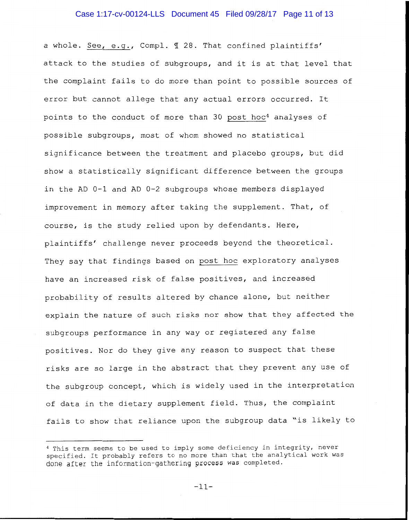# Case 1:17-cv-00124-LLS Document 45 Filed 09/28/17 Page 11 of 13

a whole. See, e.g., Compl. 1 28. That confined plaintiffs' attack to the studies of subgroups, and it is at that level that the complaint fails to do more than point to possible sources of error but cannot allege that any actual errors occurred. It points to the conduct of more than 30 post hoc<sup>4</sup> analyses of possible subgroups, most of whom showed no statistical significance between the treatment and placebo groups, but did show a statistically significant difference between the groups in the AD 0-1 and AD 0-2 subgroups whose members displayed improvement in memory after taking the supplement. That, of course, is the study relied upon by defendants. Here, plaintiffs' challenge never proceeds beyond the theoretical. They say that findings based on post hoc exploratory analyses have an increased risk of false positives, and increased probability of results altered by chance alone, but neither explain the nature of such risks nor show that they affected the subgroups performance in any way or registered any false positives. Nor do they give any reason to suspect that these risks are so large in the abstract that they prevent any use of the subgroup concept, which is widely used in the interpretation of data in the dietary supplement field. Thus, the complaint fails to show that reliance upon the subgroup data "is likely to

<sup>4</sup> This term seems to be used to imply some deficiency in integrity, never specified. It probably refers to no more than that the analytical work was done after the information-gathering process was completed.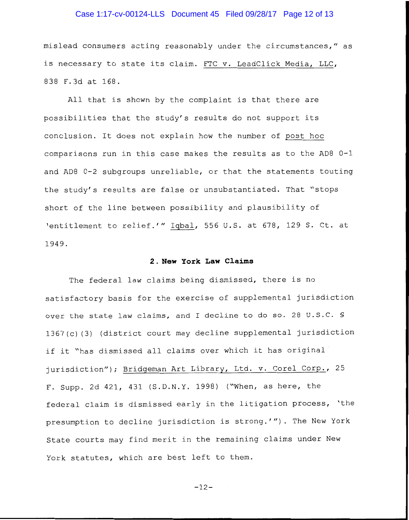# Case 1:17-cv-00124-LLS Document 45 Filed 09/28/17 Page 12 of 13

mislead consumers acting reasonably under the circumstances," as is necessary to state its claim. FTC v. LeadClick Media, LLC, 838 F.3d at 168.

All that is shown by the complaint is that there are possibilities that the study's results do not support its conclusion. It does not explain how the number of post hoc comparisons run in this case makes the results as to the AD8 0-1 and AD8 0-2 subgroups unreliable, or that the statements touting the study's results are false or unsubstantiated. That "stops short of the line between possibility and plausibility of 'entitlement to relief.'" Iqbal, 556 U.S. at 678, 129 S. Ct. at 1949.

#### **2. New York Law Claims**

The federal law claims being dismissed, there is no satisfactory basis for the exercise of supplemental jurisdiction over the state law claims, and I decline to do so. 28 U.S.C. § 1367(c) (3) (district court may decline supplemental jurisdiction if it "has dismissed all claims over which it has original jurisdiction"); Bridgeman Art Library, Ltd. v. Corel Corp., 25 F. Supp. 2d 421, 431 (S.D.N.Y. 1998) ("When, as here, the federal claim is dismissed early in the litigation process, 'the presumption to decline jurisdiction is strong.'"). The New York State courts may find merit in the remaining claims under New York statutes, which are best left to them.

-12-